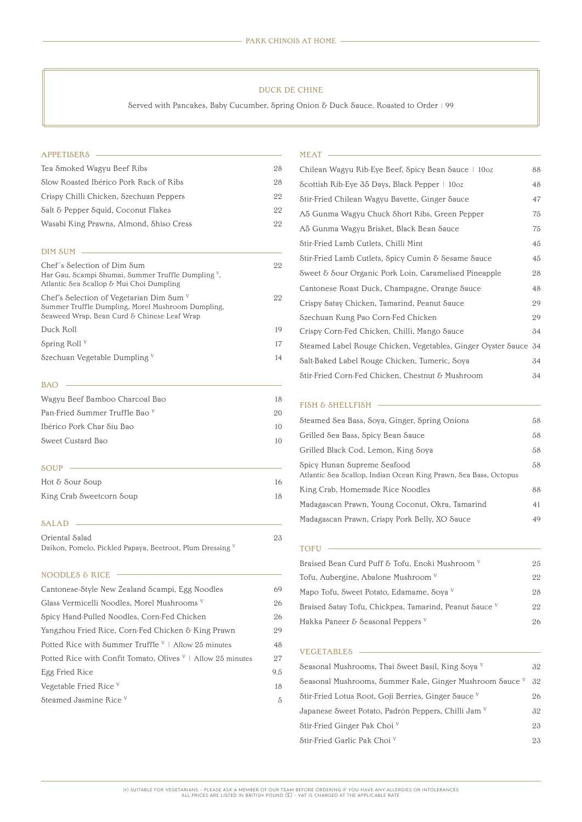| Tea Smoked Wagyu Beef Ribs              | 28 |
|-----------------------------------------|----|
| Slow Roasted Ibérico Pork Rack of Ribs  | 28 |
| Crispy Chilli Chicken, Szechuan Peppers | 22 |
| Salt & Pepper Squid, Coconut Flakes     | 22 |
| Wasabi King Prawns, Almond, Shiso Cress | 22 |

### DIM SUM CONTINUES AND SUMMER SUMMER SUMMER SUMMER SUMMER SUMMER SUMMER SUMMER SUMMER SUMMER SUMMER SUMMER SUMMER SUMMER SUMMER SUMMER SUMMER SUMMER SUMMER SUMMER SUMMER SUMMER SUMMER SUMMER SUMMER SUMMER SUMMER SUMMER SUMM

| Chef's Selection of Dim Sum<br>Har Gau, Scampi Shumai, Summer Truffle Dumpling <sup>v</sup> ,<br>Atlantic Sea Scallop & Mui Choi Dumpling      | 22 |
|------------------------------------------------------------------------------------------------------------------------------------------------|----|
| Chef's Selection of Vegetarian Dim Sum $V$<br>Summer Truffle Dumpling, Morel Mushroom Dumpling,<br>Seaweed Wrap, Bean Curd & Chinese Leaf Wrap | 22 |
| Duck Roll                                                                                                                                      | 19 |
| Spring Roll <sup>V</sup>                                                                                                                       | 17 |
| Szechuan Vegetable Dumpling V                                                                                                                  | 14 |

## BAO

### APPETISERS MEAT

| 18 |
|----|
| 20 |
|    |
| 10 |
|    |

# SOUP CONTROL CONTROL CONTROL CONTROL CONTROL CONTROL CONTROL CONTROL CONTROL CONTROL CONTROL CONTROL CONTROL CONTROL CONTROL CONTROL CONTROL CONTROL CONTROL CONTROL CONTROL CONTROL CONTROL CONTROL CONTROL CONTROL CONTROL C

| Hot & Sour Soup          | 16 |
|--------------------------|----|
| King Crab Sweetcorn Soup | 18 |

# SALAD

| Oriental Salad                                            | 23 |
|-----------------------------------------------------------|----|
| Daikon, Pomelo, Pickled Papaya, Beetroot, Plum Dressing V |    |

### NOODLES & RICE

| Chilean Wagyu Rib-Eye Beef, Spicy Bean Sauce   10oz             | 88 |
|-----------------------------------------------------------------|----|
| Scottish Rib-Eye 35 Days, Black Pepper   10oz                   | 48 |
| Stir-Fried Chilean Wagyu Bavette, Ginger Sauce                  | 47 |
| A5 Gunma Wagyu Chuck Short Ribs, Green Pepper                   | 75 |
| A5 Gunma Wagyu Brisket, Black Bean Sauce                        | 75 |
| Stir-Fried Lamb Cutlets, Chilli Mint                            | 45 |
| Stir-Fried Lamb Cutlets, Spicy Cumin & Sesame Sauce             | 45 |
| Sweet & Sour Organic Pork Loin, Caramelised Pineapple           | 28 |
| Cantonese Roast Duck, Champagne, Orange Sauce                   | 48 |
| Crispy Satay Chicken, Tamarind, Peanut Sauce                    | 29 |
| Szechuan Kung Pao Corn-Fed Chicken                              | 29 |
| Crispy Corn-Fed Chicken, Chilli, Mango Sauce                    | 34 |
| Steamed Label Rouge Chicken, Vegetables, Ginger Oyster Sauce 34 |    |
| Salt-Baked Label Rouge Chicken, Tumeric, Soya                   | 34 |
| Stir-Fried Corn-Fed Chicken, Chestnut & Mushroom                | 34 |

# FISH & SHELLFISH

| Cantonese-Style New Zealand Scampi, Egg Noodles | 69 |
|-------------------------------------------------|----|
| Glass Vermicelli Noodles, Morel Mushrooms V     | 26 |
| Spicy Hand-Pulled Noodles, Corn-Fed Chicken     | 26 |

| Yangzhou Fried Rice, Corn-Fed Chicken & King Prawn                     | 29  |
|------------------------------------------------------------------------|-----|
| Potted Rice with Summer Truffle $V$   Allow 25 minutes                 | 48  |
| Potted Rice with Confit Tomato, Olives <sup>V</sup>   Allow 25 minutes | 27  |
| Egg Fried Rice                                                         | 9.5 |
| Vegetable Fried Rice <sup>v</sup>                                      | 18  |
| Steamed Jasmine Rice <sup>v</sup>                                      | 5   |
|                                                                        |     |

Hakka Paneer & Seasonal Peppers v

### VEGETABLES **CONSERVERS**

| Seasonal Mushrooms, Thai Sweet Basil, King Soya V              | 32 |
|----------------------------------------------------------------|----|
| Seasonal Mushrooms, Summer Kale, Ginger Mushroom Sauce V       | 32 |
| Stir-Fried Lotus Root, Goji Berries, Ginger Sauce V            | 26 |
| Japanese Sweet Potato, Padrón Peppers, Chilli Jam <sup>v</sup> | 32 |
| Stir-Fried Ginger Pak Choi <sup>v</sup>                        | 23 |
| Stir-Fried Garlic Pak Choi V                                   | 23 |

(v) suitable for vegetarians - please ask a member of our team before ordering if you have any allergies or intolerances. ALL PRICES ARE LISTED IN BRITISH POUND  $(\mathfrak{L})$  - VAT IS CHARGED AT THE APPLICABLE RATE.

| Steamed Sea Bass, Soya, Ginger, Spring Onions                                                   | 58 |
|-------------------------------------------------------------------------------------------------|----|
| Grilled Sea Bass, Spicy Bean Sauce                                                              | 58 |
| Grilled Black Cod, Lemon, King Soya                                                             | 58 |
| Spicy Hunan Supreme Seafood<br>Atlantic Sea Scallop, Indian Ocean King Prawn, Sea Bass, Octopus | 58 |
| King Crab, Homemade Rice Noodles                                                                | 88 |
| Madagascan Prawn, Young Coconut, Okra, Tamarind                                                 | 41 |
| Madagascan Prawn, Crispy Pork Belly, XO Sauce                                                   | 49 |

# TOFU WELL ASSESSED TO THE TEST OF THE TEST OF THE TEST OF THE TEST OF THE TEST OF THE TEST OF THE TEST OF THE TEST OF THE TEST OF THE TEST OF THE TEST OF THE TEST OF THE TEST OF THE TEST OF THE TEST OF THE TEST OF THE TEST

| Braised Bean Curd Puff & Tofu, Enoki Mushroom V        | 25 |
|--------------------------------------------------------|----|
| Tofu, Aubergine, Abalone Mushroom <sup>v</sup>         | 22 |
| Mapo Tofu, Sweet Potato, Edamame, Soya <sup>v</sup>    | 28 |
| Braised Satay Tofu, Chickpea, Tamarind, Peanut Sauce V | 22 |
| 111 D                                                  |    |

Served with Pancakes, Baby Cucumber, Spring Onion & Duck Sauce. Roasted to Order | 99

### DUCK DE CHINE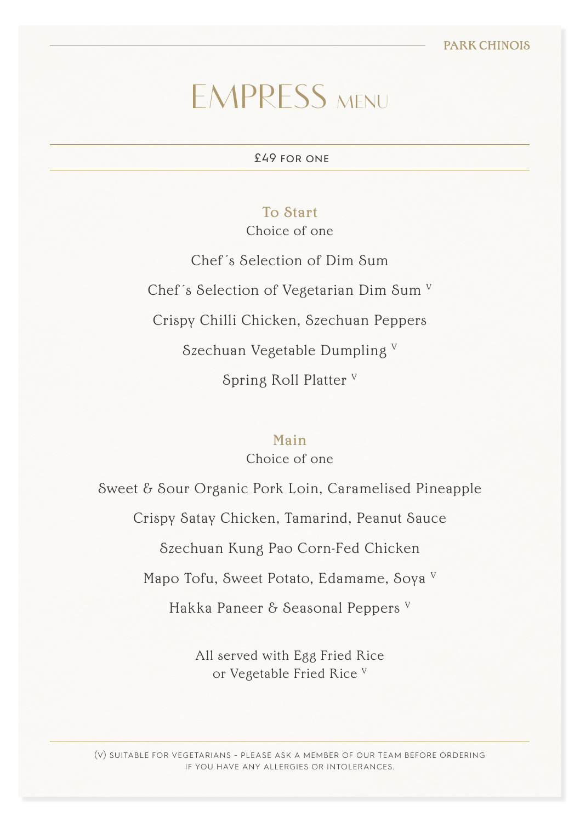# **EMPRESS MENU**

£49 for one

#### To Start

Choice of one

Chef´s Selection of Dim Sum Chef´s Selection of Vegetarian Dim Sum V Crispy Chilli Chicken, Szechuan Peppers Szechuan Vegetable Dumpling V Spring Roll Platter V

#### Main

Choice of one

Sweet & Sour Organic Pork Loin, Caramelised Pineapple Crispy Satay Chicken, Tamarind, Peanut Sauce Szechuan Kung Pao Corn-Fed Chicken Mapo Tofu, Sweet Potato, Edamame, Soya V Hakka Paneer & Seasonal Peppers V

> All served with Egg Fried Rice or Vegetable Fried Rice V

(v) suitable for vegetarians - please ask a member of our team before ordering if you have any allergies or intolerances.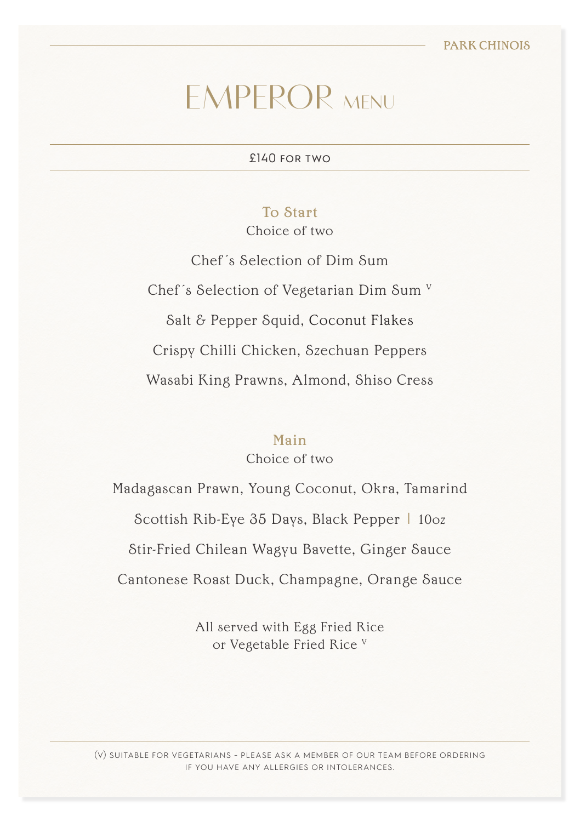# **EMPEROR MENU**

£140 for two

#### To Start

Choice of two

Chef´s Selection of Dim Sum Chef´s Selection of Vegetarian Dim Sum V Salt & Pepper Squid, Coconut Flakes Crispy Chilli Chicken, Szechuan Peppers Wasabi King Prawns, Almond, Shiso Cress

#### Main

Choice of two

Madagascan Prawn, Young Coconut, Okra, Tamarind Scottish Rib-Eye 35 Days, Black Pepper | 10oz Stir-Fried Chilean Wagyu Bavette, Ginger Sauce Cantonese Roast Duck, Champagne, Orange Sauce

> All served with Egg Fried Rice or Vegetable Fried Rice V